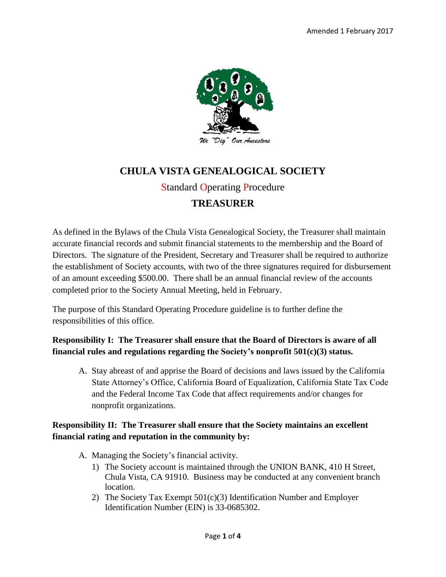

# **CHULA VISTA GENEALOGICAL SOCIETY** Standard Operating Procedure

## **TREASURER**

As defined in the Bylaws of the Chula Vista Genealogical Society, the Treasurer shall maintain accurate financial records and submit financial statements to the membership and the Board of Directors. The signature of the President, Secretary and Treasurer shall be required to authorize the establishment of Society accounts, with two of the three signatures required for disbursement of an amount exceeding \$500.00. There shall be an annual financial review of the accounts completed prior to the Society Annual Meeting, held in February.

The purpose of this Standard Operating Procedure guideline is to further define the responsibilities of this office.

#### **Responsibility I: The Treasurer shall ensure that the Board of Directors is aware of all financial rules and regulations regarding the Society's nonprofit 501(c)(3) status.**

A. Stay abreast of and apprise the Board of decisions and laws issued by the California State Attorney's Office, California Board of Equalization, California State Tax Code and the Federal Income Tax Code that affect requirements and/or changes for nonprofit organizations.

#### **Responsibility II: The Treasurer shall ensure that the Society maintains an excellent financial rating and reputation in the community by:**

- A. Managing the Society's financial activity.
	- 1) The Society account is maintained through the UNION BANK, 410 H Street, Chula Vista, CA 91910. Business may be conducted at any convenient branch location.
	- 2) The Society Tax Exempt 501(c)(3) Identification Number and Employer Identification Number (EIN) is 33-0685302.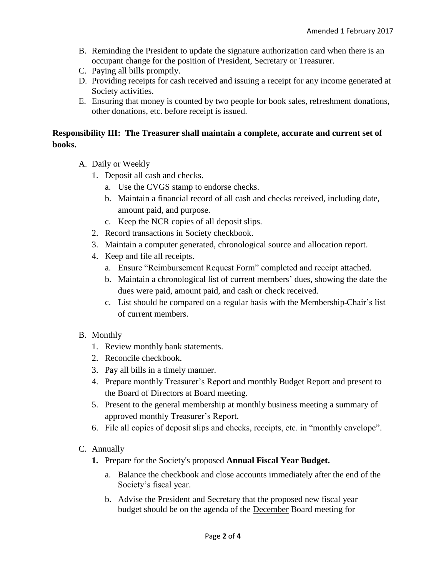- B. Reminding the President to update the signature authorization card when there is an occupant change for the position of President, Secretary or Treasurer.
- C. Paying all bills promptly.
- D. Providing receipts for cash received and issuing a receipt for any income generated at Society activities.
- E. Ensuring that money is counted by two people for book sales, refreshment donations, other donations, etc. before receipt is issued.

#### **Responsibility III: The Treasurer shall maintain a complete, accurate and current set of books.**

- A. Daily or Weekly
	- 1. Deposit all cash and checks.
		- a. Use the CVGS stamp to endorse checks.
		- b. Maintain a financial record of all cash and checks received, including date, amount paid, and purpose.
		- c. Keep the NCR copies of all deposit slips.
	- 2. Record transactions in Society checkbook.
	- 3. Maintain a computer generated, chronological source and allocation report.
	- 4. Keep and file all receipts.
		- a. Ensure "Reimbursement Request Form" completed and receipt attached.
		- b. Maintain a chronological list of current members' dues, showing the date the dues were paid, amount paid, and cash or check received.
		- c. List should be compared on a regular basis with the Membership Chair's list of current members.

#### B. Monthly

- 1. Review monthly bank statements.
- 2. Reconcile checkbook.
- 3. Pay all bills in a timely manner.
- 4. Prepare monthly Treasurer's Report and monthly Budget Report and present to the Board of Directors at Board meeting.
- 5. Present to the general membership at monthly business meeting a summary of approved monthly Treasurer's Report.
- 6. File all copies of deposit slips and checks, receipts, etc. in "monthly envelope".
- C. Annually
	- **1.** Prepare for the Society's proposed **Annual Fiscal Year Budget.**
		- a. Balance the checkbook and close accounts immediately after the end of the Society's fiscal year.
		- b. Advise the President and Secretary that the proposed new fiscal year budget should be on the agenda of the December Board meeting for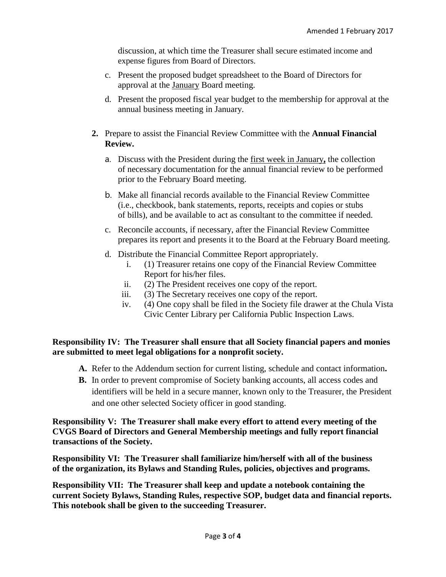discussion, at which time the Treasurer shall secure estimated income and expense figures from Board of Directors.

- c. Present the proposed budget spreadsheet to the Board of Directors for approval at the January Board meeting.
- d. Present the proposed fiscal year budget to the membership for approval at the annual business meeting in January.
- **2.** Prepare to assist the Financial Review Committee with the **Annual Financial Review.**
	- a. Discuss with the President during the first week in January**,** the collection of necessary documentation for the annual financial review to be performed prior to the February Board meeting.
	- b. Make all financial records available to the Financial Review Committee (i.e., checkbook, bank statements, reports, receipts and copies or stubs of bills), and be available to act as consultant to the committee if needed.
	- c. Reconcile accounts, if necessary, after the Financial Review Committee prepares its report and presents it to the Board at the February Board meeting.
	- d. Distribute the Financial Committee Report appropriately.
		- i. (1) Treasurer retains one copy of the Financial Review Committee Report for his/her files.
		- ii. (2) The President receives one copy of the report.
		- iii. (3) The Secretary receives one copy of the report.
		- iv. (4) One copy shall be filed in the Society file drawer at the Chula Vista Civic Center Library per California Public Inspection Laws.

#### **Responsibility IV: The Treasurer shall ensure that all Society financial papers and monies are submitted to meet legal obligations for a nonprofit society.**

- **A.** Refer to the Addendum section for current listing, schedule and contact information**.**
- **B.** In order to prevent compromise of Society banking accounts, all access codes and identifiers will be held in a secure manner, known only to the Treasurer, the President and one other selected Society officer in good standing.

**Responsibility V: The Treasurer shall make every effort to attend every meeting of the CVGS Board of Directors and General Membership meetings and fully report financial transactions of the Society.**

**Responsibility VI: The Treasurer shall familiarize him/herself with all of the business of the organization, its Bylaws and Standing Rules, policies, objectives and programs.**

**Responsibility VII: The Treasurer shall keep and update a notebook containing the current Society Bylaws, Standing Rules, respective SOP, budget data and financial reports. This notebook shall be given to the succeeding Treasurer.**